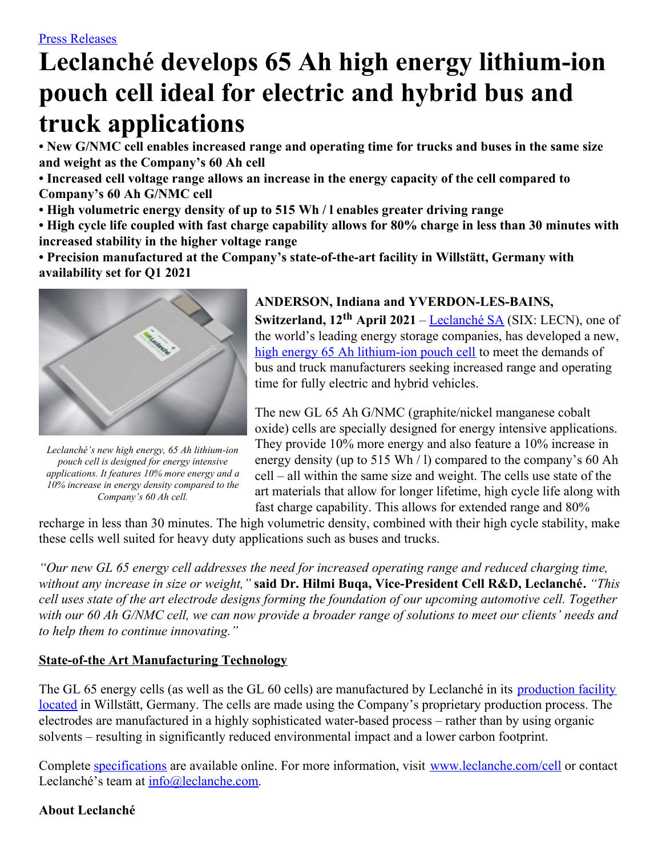# **Leclanché develops 65 Ah high energy lithium-ion pouch cell ideal for electric and hybrid bus and truck applications**

**• New G/NMC cell enables increased range and operating time for trucks and buses in the same size and weight as the Company's 60 Ah cell**

**• Increased cell voltage range allows an increase in the energy capacity of the cell compared to Company's 60 Ah G/NMC cell**

**• High volumetric energy density of up to 515 Wh / l enables greater driving range**

• High cycle life coupled with fast charge capability allows for 80% charge in less than 30 minutes with **increased stability in the higher voltage range**

**• Precision manufactured at the Company's state-of-the-art facility in Willstätt, Germany with availability set for Q1 2021**



*Leclanché's new high energy, 65 Ah lithium-ion pouch cell is designed for energy intensive applications. It features 10% more energy and a 10% increase in energy density compared to the Company's 60 Ah cell.*

#### **ANDERSON, Indiana and YVERDON-LES-BAINS,**

**Switzerland, 12 th April 2021** – [Leclanché](http://www.leclanche.com/) SA (SIX: LECN), one of the world's leading energy storage companies, has developed a new, high energy 65 Ah [lithium-ion](https://www.leclanche.com/wp-content/uploads/2021/04/Leclanche-Cell20211-1.png) pouch cell to meet the demands of bus and truck manufacturers seeking increased range and operating time for fully electric and hybrid vehicles.

The new GL 65 Ah G/NMC (graphite/nickel manganese cobalt oxide) cells are specially designed for energy intensive applications. They provide 10% more energy and also feature a 10% increase in energy density (up to 515 Wh / l) compared to the company's 60 Ah cell – all within the same size and weight. The cells use state of the art materials that allow for longer lifetime, high cycle life along with fast charge capability. This allows for extended range and 80%

recharge in less than 30 minutes. The high volumetric density, combined with their high cycle stability, make these cells well suited for heavy duty applications such as buses and trucks.

*"Our new GL 65 energy cell addresses the need for increased operating range and reduced charging time, without any increase in size or weight,"* **said Dr. Hilmi Buqa, Vice-President Cell R&D, Leclanché.** *"This* cell uses state of the art electrode designs forming the foundation of our upcoming automotive cell. Together with our 60 Ah G/NMC cell, we can now provide a broader range of solutions to meet our clients' needs and *to help them to continue innovating."*

#### **State-of-the Art Manufacturing Technology**

The GL 65 energy cells (as well as the GL 60 cells) are [manufactured](https://www.leclanche.com/wp-content/uploads/2021/04/DSC07546-2-3.png) by Leclanché in its production facility located in Willstätt, Germany. The cells are made using the Company's proprietary production process. The electrodes are manufactured in a highly sophisticated water-based process – rather than by using organic solvents – resulting in significantly reduced environmental impact and a lower carbon footprint.

Complete [specifications](https://www.leclanche.com/wp-content/uploads/2021/04/LECLANCHE-LECCELL-NMCGL65corr.pdf) are available online. For more information, visit [www.leclanche.com/cell](http://www.leclanche.com/cell) or contact Leclanché's team at [info@leclanche.com](mailto:info@leclanche.com).

## **About Leclanché**